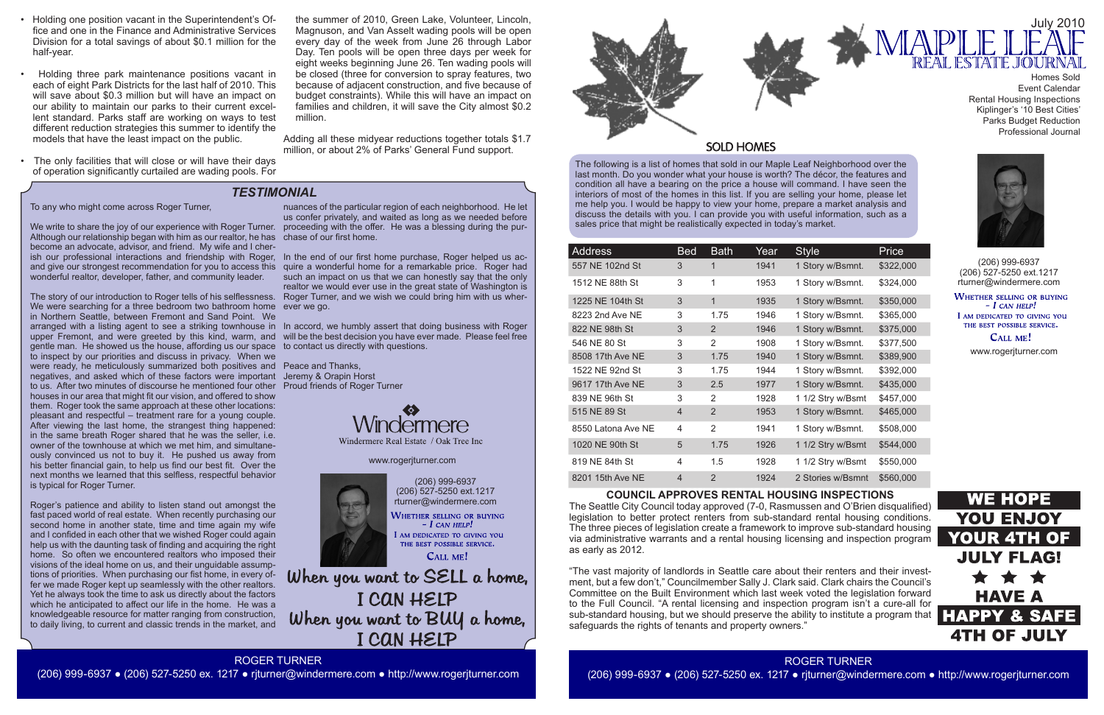The following is a list of homes that sold in our Maple Leaf Neighborhood over the last month. Do you wonder what your house is worth? The décor, the features and condition all have a bearing on the price a house will command. I have seen the interiors of most of the homes in this list. If you are selling your home, please let me help you. I would be happy to view your home, prepare a market analysis and discuss the details with you. I can provide you with useful information, such as a sales price that might be realistically expected in today's market.

(206) 999-6937 (206) 527-5250 ext.1217 rturner@windermere.com WHETHER SELLING OR BUYING  $-$  I can help!

I AM DEDICATED TO GIVING YOU THE BEST POSSIBLE SERVICE.

CALL ME!

When you want to SELL a home, I CAN HELP When you want to BUY a home, I CAN HELP



### **SOLD HOMES**



| Address            | <b>Bed</b>     | <b>Bath</b>    | Year | <b>Style</b>      | Price     |
|--------------------|----------------|----------------|------|-------------------|-----------|
| 557 NE 102nd St    | 3              | 1              | 1941 | 1 Story w/Bsmnt.  | \$322,000 |
| 1512 NE 88th St    | 3              | 1              | 1953 | 1 Story w/Bsmnt.  | \$324,000 |
| 1225 NE 104th St   | 3              | $\mathbf{1}$   | 1935 | 1 Story w/Bsmnt.  | \$350,000 |
| 8223 2nd Ave NE    | 3              | 1.75           | 1946 | 1 Story w/Bsmnt.  | \$365,000 |
| 822 NE 98th St     | 3              | 2              | 1946 | 1 Story w/Bsmnt.  | \$375,000 |
| 546 NE 80 St       | 3              | 2              | 1908 | 1 Story w/Bsmnt.  | \$377,500 |
| 8508 17th Ave NE   | 3              | 1.75           | 1940 | 1 Story w/Bsmnt.  | \$389,900 |
| 1522 NE 92nd St    | 3              | 1.75           | 1944 | 1 Story w/Bsmnt.  | \$392,000 |
| 9617 17th Ave NE   | 3              | 2.5            | 1977 | 1 Story w/Bsmnt.  | \$435,000 |
| 839 NE 96th St     | 3              | 2              | 1928 | 1 1/2 Stry w/Bsmt | \$457,000 |
| 515 NE 89 St       | $\overline{4}$ | $\overline{2}$ | 1953 | 1 Story w/Bsmnt.  | \$465,000 |
| 8550 Latona Ave NE | 4              | 2              | 1941 | 1 Story w/Bsmnt.  | \$508,000 |
| 1020 NE 90th St    | 5              | 1.75           | 1926 | 1 1/2 Stry w/Bsmt | \$544,000 |
| 819 NE 84th St     | 4              | 1.5            | 1928 | 1 1/2 Stry w/Bsmt | \$550,000 |
| 8201 15th Ave NE   | $\overline{4}$ | $\overline{2}$ | 1924 | 2 Stories w/Bsmnt | \$560,000 |

(206) 999-6937 (206) 527-5250 ext.1217 rturner@windermere.com

WHETHER SELLING OR BUYING  $-I$  CAN HELP! I AM DEDICATED TO GIVING YOU

THE BEST POSSIBLE SERVICE. CALL ME!

## *TESTIMONIAL*

www.rogerjturner.com



#### www.rogerjturner.com



#### **COUNCIL APPROVES RENTAL HOUSING INSPECTIONS**

The Seattle City Council today approved (7-0, Rasmussen and O'Brien disqualified) legislation to better protect renters from sub-standard rental housing conditions. The three pieces of legislation create a framework to improve sub-standard housing via administrative warrants and a rental housing licensing and inspection program as early as 2012.

"The vast majority of landlords in Seattle care about their renters and their investment, but a few don't," Councilmember Sally J. Clark said. Clark chairs the Council's Committee on the Built Environment which last week voted the legislation forward to the Full Council. "A rental licensing and inspection program isn't a cure-all for sub-standard housing, but we should preserve the ability to institute a program that safeguards the rights of tenants and property owners."

To any who might come across Roger Turner,

We write to share the joy of our experience with Roger Turner. proceeding with the offer. He was a blessing during the pur-Although our relationship began with him as our realtor, he has chase of our first home. become an advocate, advisor, and friend. My wife and I cherish our professional interactions and friendship with Roger, In the end of our first home purchase, Roger helped us acand give our strongest recommendation for you to access this quire a wonderful home for a remarkable price. Roger had wonderful realtor, developer, father, and community leader.

The story of our introduction to Roger tells of his selflessness. Roger Turner, and we wish we could bring him with us wher-We were searching for a three bedroom two bathroom home ever we go. in Northern Seattle, between Fremont and Sand Point. We arranged with a listing agent to see a striking townhouse in In accord, we humbly assert that doing business with Roger upper Fremont, and were greeted by this kind, warm, and will be the best decision you have ever made. Please feel free gentle man. He showed us the house, affording us our space to contact us directly with questions. to inspect by our priorities and discuss in privacy. When we were ready, he meticulously summarized both positives and Peace and Thanks, negatives, and asked which of these factors were important Jeremy & Orapin Horst to us. After two minutes of discourse he mentioned four other Proud friends of Roger Turner houses in our area that might fit our vision, and offered to show them. Roger took the same approach at these other locations: pleasant and respectful – treatment rare for a young couple. After viewing the last home, the strangest thing happened: in the same breath Roger shared that he was the seller, i.e. owner of the townhouse at which we met him, and simultaneously convinced us not to buy it. He pushed us away from his better financial gain, to help us find our best fit. Over the next months we learned that this selfless, respectful behavior is typical for Roger Turner.

Roger's patience and ability to listen stand out amongst the fast paced world of real estate. When recently purchasing our second home in another state, time and time again my wife and I confided in each other that we wished Roger could again help us with the daunting task of finding and acquiring the right home. So often we encountered realtors who imposed their visions of the ideal home on us, and their unguidable assumptions of priorities. When purchasing our fist home, in every offer we made Roger kept up seamlessly with the other realtors. Yet he always took the time to ask us directly about the factors which he anticipated to affect our life in the home. He was a knowledgeable resource for matter ranging from construction, to daily living, to current and classic trends in the market, and

nuances of the particular region of each neighborhood. He let us confer privately, and waited as long as we needed before

such an impact on us that we can honestly say that the only realtor we would ever use in the great state of Washington is



Windermere Real Estate / Oak Tree Inc

Homes Sold Event Calendar Rental Housing Inspections Kiplinger's '10 Best Cities' Parks Budget Reduction Professional Journal



ROGER TURNER

(206) 999-6937 ● (206) 527-5250 ex. 1217 ● rjturner@windermere.com ● http://www.rogerjturner.com

(206) 999-6937 ● (206) 527-5250 ex. 1217 ● rjturner@windermere.com ● http://www.rogerjturner.com

- Holding one position vacant in the Superintendent's Office and one in the Finance and Administrative Services Division for a total savings of about \$0.1 million for the half-year.
- Holding three park maintenance positions vacant in each of eight Park Districts for the last half of 2010. This will save about \$0.3 million but will have an impact on our ability to maintain our parks to their current excellent standard. Parks staff are working on ways to test different reduction strategies this summer to identify the models that have the least impact on the public.
- The only facilities that will close or will have their days of operation significantly curtailed are wading pools. For

the summer of 2010, Green Lake, Volunteer, Lincoln, Magnuson, and Van Asselt wading pools will be open every day of the week from June 26 through Labor Day. Ten pools will be open three days per week for eight weeks beginning June 26. Ten wading pools will be closed (three for conversion to spray features, two because of adjacent construction, and five because of budget constraints). While this will have an impact on families and children, it will save the City almost \$0.2 million.

Adding all these midyear reductions together totals \$1.7 million, or about 2% of Parks' General Fund support.